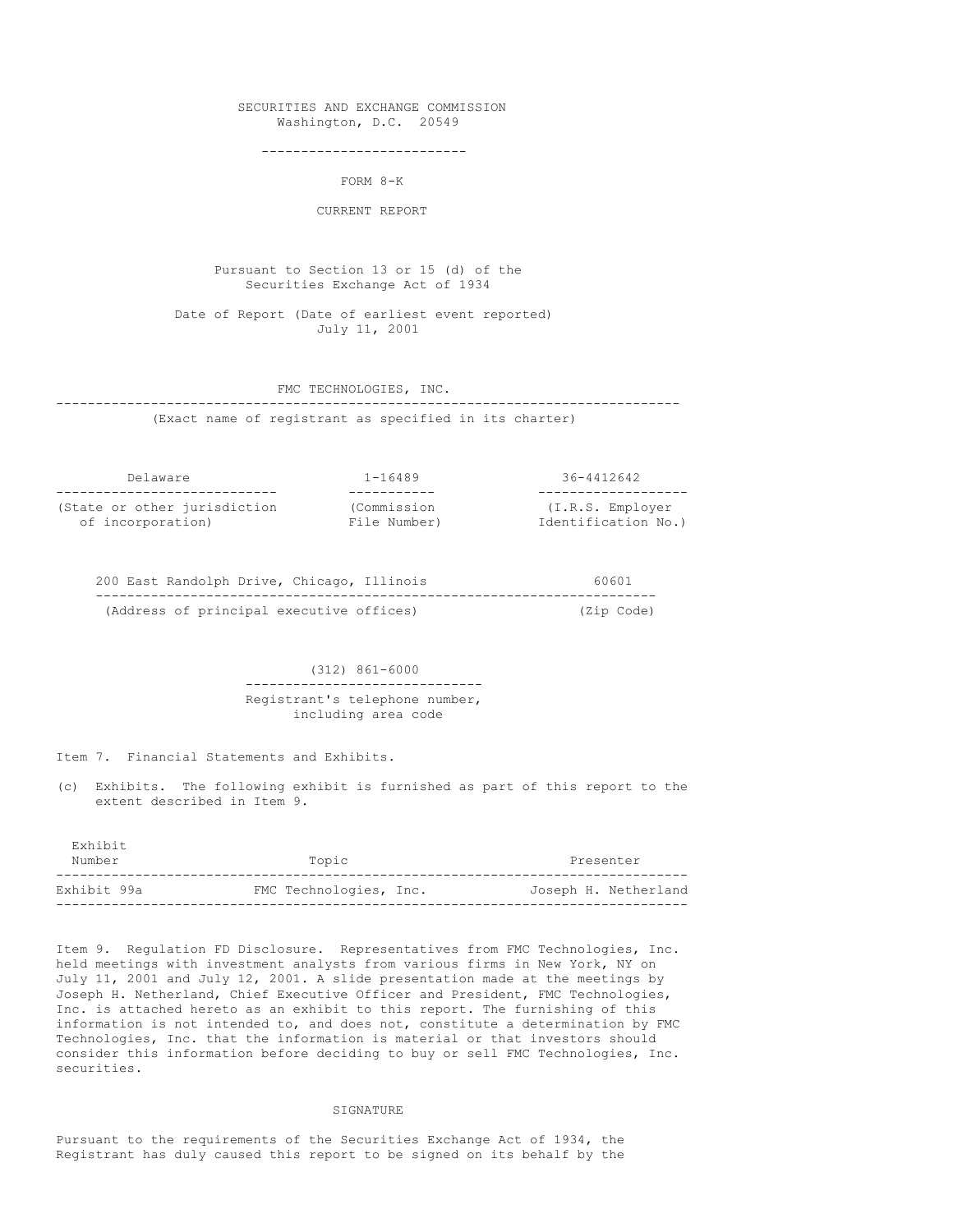### SECURITIES AND EXCHANGE COMMISSION Washington, D.C. 20549

--------------------------

FORM 8-K

CURRENT REPORT

Pursuant to Section 13 or 15 (d) of the Securities Exchange Act of 1934

Date of Report (Date of earliest event reported) July 11, 2001

#### FMC TECHNOLOGIES, INC.

-------------------------------------------------------------------------------

(Exact name of registrant as specified in its charter)

| Delaware                     | $1 - 16489$  | 36-4412642          |
|------------------------------|--------------|---------------------|
|                              |              |                     |
| (State or other jurisdiction | (Commission  | (I.R.S. Employer    |
| of incorporation)            | File Number) | Identification No.) |

| 200 East Randolph Drive, Chicago, Illinois |  | 60601      |
|--------------------------------------------|--|------------|
|                                            |  |            |
| (Address of principal executive offices)   |  | (Zip Code) |

(312) 861-6000 ------------------------------ Registrant's telephone number, including area code

Item 7. Financial Statements and Exhibits.

(c) Exhibits. The following exhibit is furnished as part of this report to the extent described in Item 9.

| Exhibit<br>Number | Topic                  | Presenter            |
|-------------------|------------------------|----------------------|
| Exhibit 99a       | FMC Technologies, Inc. | Joseph H. Netherland |

Item 9. Regulation FD Disclosure. Representatives from FMC Technologies, Inc. held meetings with investment analysts from various firms in New York, NY on July 11, 2001 and July 12, 2001. A slide presentation made at the meetings by Joseph H. Netherland, Chief Executive Officer and President, FMC Technologies, Inc. is attached hereto as an exhibit to this report. The furnishing of this information is not intended to, and does not, constitute a determination by FMC Technologies, Inc. that the information is material or that investors should consider this information before deciding to buy or sell FMC Technologies, Inc. securities.

#### SIGNATURE

Pursuant to the requirements of the Securities Exchange Act of 1934, the Registrant has duly caused this report to be signed on its behalf by the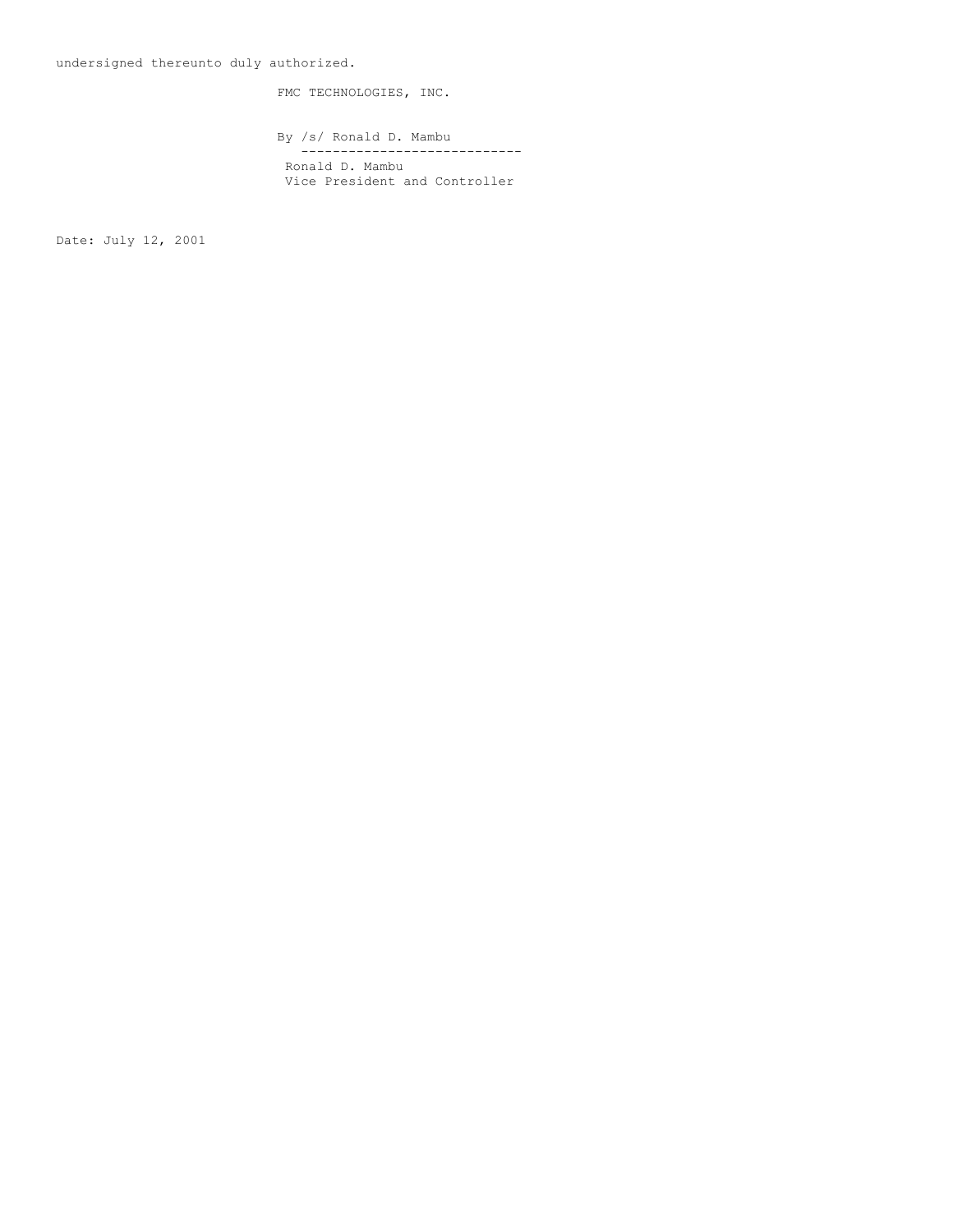FMC TECHNOLOGIES, INC.

By /s/ Ronald D. Mambu ---------------------------- Ronald D. Mambu Vice President and Controller

Date: July 12, 2001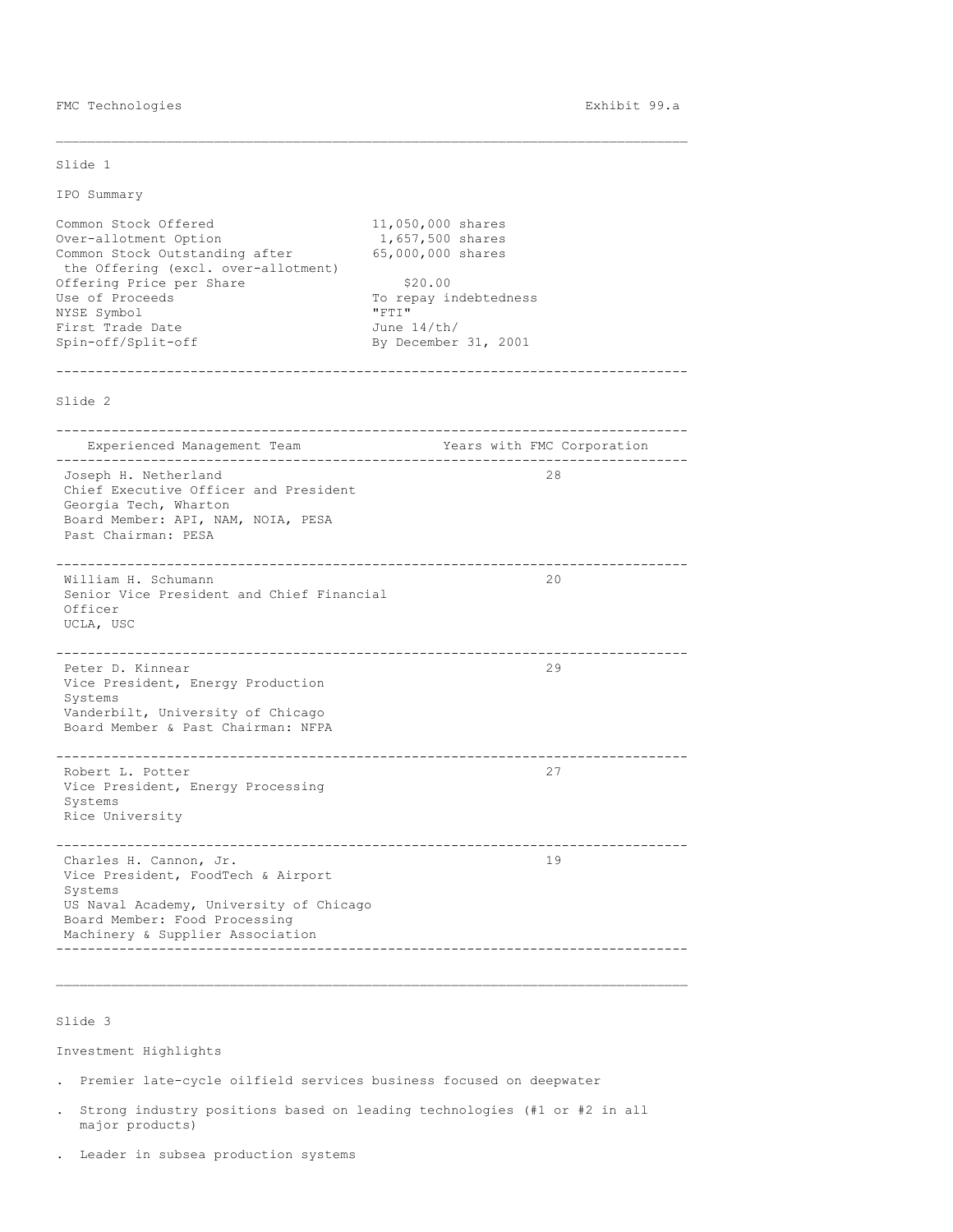FMC Technologies **Exhibit 99.a** 

Slide 1

IPO Summary

Common Stock Offered 11,050,000 shares<br>Over-allotment Option 1,657,500 shares Over-allotment Option Common Stock Outstanding after 65,000,000 shares the Offering (excl. over-allotment) Offering Price per Share \$20.00 Use of Proceeds To repay indebtedness<br>
NYSE Symbol **The Contract Contract Contract Contract Contract Contract Contract Contract Contract Contract Contract Contract Contract Contract Contract Contract Contract Contract Cont** NYSE Symbol First Trade Date  $June$  14/th/<br>Spin-off/Split-off By December By December 31, 2001 -------------------------------------------------------------------------------- Slide 2 -------------------------------------------------------------------------------- Experienced Management Team Team Years with FMC Corporation -------------------------------------------------------------------------------- Joseph H. Netherland 28 Chief Executive Officer and President Georgia Tech, Wharton Board Member: API, NAM, NOIA, PESA Past Chairman: PESA -------------------------------------------------------------------------------- William H. Schumann Senior Vice President and Chief Financial Officer UCLA, USC -------------------------------------------------------------------------------- Peter D. Kinnear 29 Vice President, Energy Production Systems Vanderbilt, University of Chicago Board Member & Past Chairman: NFPA -------------------------------------------------------------------------------- Robert L. Potter 27 Vice President, Energy Processing Systems Rice University -------------------------------------------------------------------------------- Charles H. Cannon, Jr. Vice President, FoodTech & Airport Systems US Naval Academy, University of Chicago Board Member: Food Processing Machinery & Supplier Association --------------------------------------------------------------------------------

\_\_\_\_\_\_\_\_\_\_\_\_\_\_\_\_\_\_\_\_\_\_\_\_\_\_\_\_\_\_\_\_\_\_\_\_\_\_\_\_\_\_\_\_\_\_\_\_\_\_\_\_\_\_\_\_\_\_\_\_\_\_\_\_\_\_\_\_\_\_\_\_\_\_\_\_\_\_\_\_

Slide 3

Investment Highlights

. Premier late-cycle oilfield services business focused on deepwater

. Strong industry positions based on leading technologies (#1 or #2 in all major products)

\_\_\_\_\_\_\_\_\_\_\_\_\_\_\_\_\_\_\_\_\_\_\_\_\_\_\_\_\_\_\_\_\_\_\_\_\_\_\_\_\_\_\_\_\_\_\_\_\_\_\_\_\_\_\_\_\_\_\_\_\_\_\_\_\_\_\_\_\_\_\_\_\_\_\_\_\_\_\_\_

. Leader in subsea production systems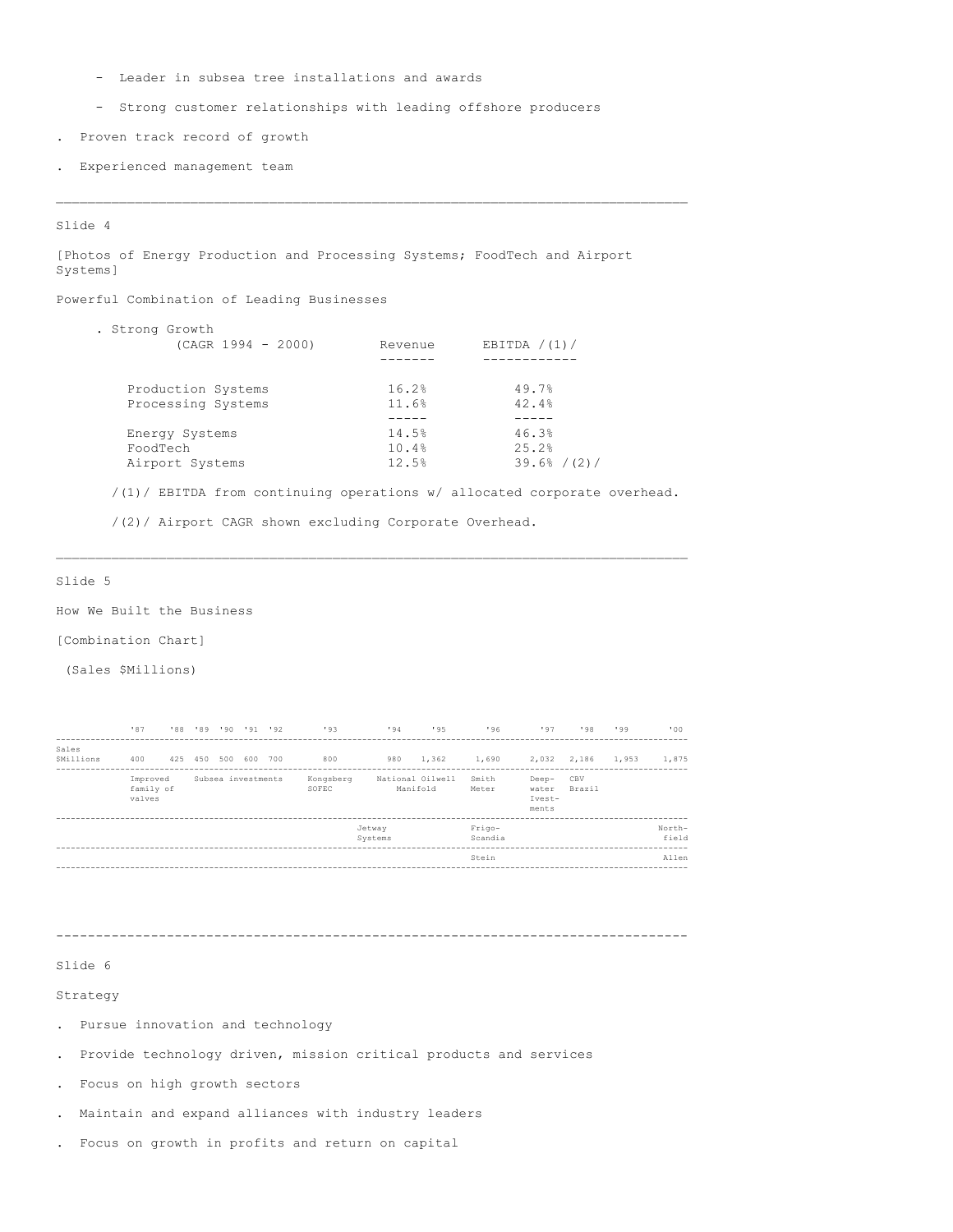- Leader in subsea tree installations and awards
- Strong customer relationships with leading offshore producers
- . Proven track record of growth
- . Experienced management team

#### Slide 4

[Photos of Energy Production and Processing Systems; FoodTech and Airport Systems]

Powerful Combination of Leading Businesses

| . Strong Growth<br>$(CAGR 1994 - 2000)$  | Revenue        | EBITDA $/(1)/$ |
|------------------------------------------|----------------|----------------|
| Production Systems<br>Processing Systems | 16.2%<br>11.6% | 49.7%<br>42.4% |
|                                          |                |                |
| Energy Systems                           | 14.5%          | 46.3%          |
| FoodTech                                 | 10.4%          | 25.2%          |
| Airport Systems                          | 12.5%          | 39.6% / (2)/   |

/(1)/ EBITDA from continuing operations w/ allocated corporate overhead.

\_\_\_\_\_\_\_\_\_\_\_\_\_\_\_\_\_\_\_\_\_\_\_\_\_\_\_\_\_\_\_\_\_\_\_\_\_\_\_\_\_\_\_\_\_\_\_\_\_\_\_\_\_\_\_\_\_\_\_\_\_\_\_\_\_\_\_\_\_\_\_\_\_\_\_\_\_\_\_\_

/(2)/ Airport CAGR shown excluding Corporate Overhead.

## Slide 5

How We Built the Business

[Combination Chart]

(Sales \$Millions)

|                    | '87                             | '88 | 92' 91' 90' 199' |                    | 193                | 194               | 195                          | 196               | 197                               | 198           | 199   | .001            |
|--------------------|---------------------------------|-----|------------------|--------------------|--------------------|-------------------|------------------------------|-------------------|-----------------------------------|---------------|-------|-----------------|
| Sales<br>SMillions | 400                             | 425 | 450 500 600 700  |                    | 800                | 980               | 1,362                        | 1,690             | 2,032 2,186                       |               | 1,953 | 1,875           |
|                    | Improved<br>family of<br>valves |     |                  | Subsea investments | Kongsberg<br>SOFEC |                   | National Oilwell<br>Manifold | Smith<br>Meter    | Deep-<br>water<br>Ivest-<br>ments | CBV<br>Brazil |       |                 |
|                    |                                 |     |                  |                    |                    | Jetway<br>Systems |                              | Frigo-<br>Scandia |                                   |               |       | North-<br>field |
|                    |                                 |     |                  |                    |                    |                   |                              | Stein             |                                   |               |       | Allen           |
|                    |                                 |     |                  |                    |                    |                   |                              |                   |                                   |               |       |                 |

--------------------------------------------------------------------------------

## Slide 6

Strategy

- . Pursue innovation and technology
- . Provide technology driven, mission critical products and services
- . Focus on high growth sectors
- . Maintain and expand alliances with industry leaders
- . Focus on growth in profits and return on capital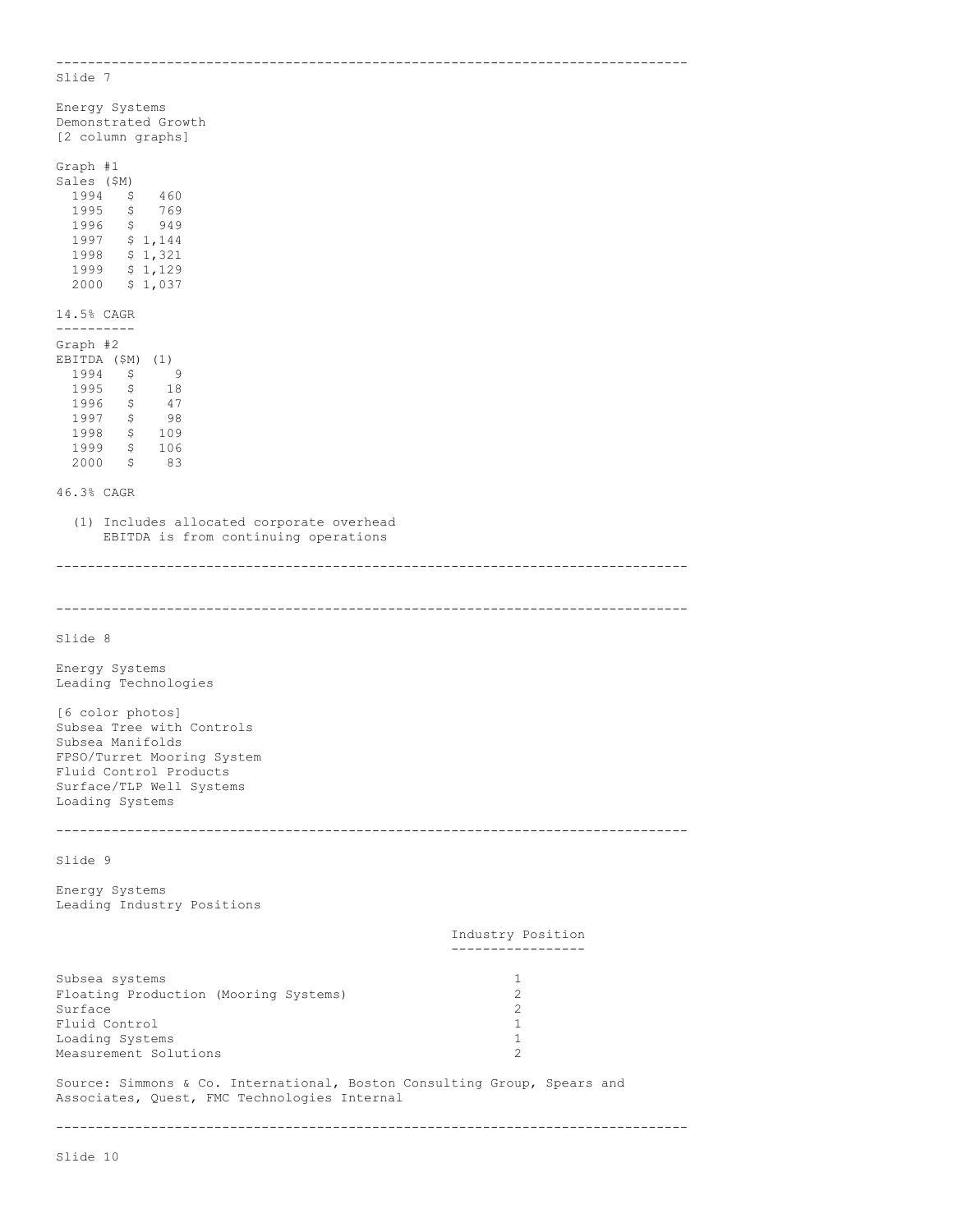-------------------------------------------------------------------------------- Slide 7 Energy Systems Demonstrated Growth [2 column graphs] Graph #1 Sales (\$M) 1994 \$ 460 1995 \$ 769 1996 \$ 949  $1997$  \$ 1,144<br>1998 \$ 1,321 1998 \$ 1,321 1999 \$ 1,129 2000 \$ 1,037 14.5% CAGR ---------- Graph #2 EBITDA (\$M) (1)<br>1994 \$9 1994 \$ 9 1995 \$ 18<br>1996 \$ 47  $1996$  \$<br>1997 \$  $\frac{47}{98}$ 1998 \$ 109 1999 \$ 106 2000 \$ 83 46.3% CAGR (1) Includes allocated corporate overhead EBITDA is from continuing operations -------------------------------------------------------------------------------- -------------------------------------------------------------------------------- Slide 8 Energy Systems Leading Technologies [6 color photos] Subsea Tree with Controls Subsea Manifolds FPSO/Turret Mooring System Fluid Control Products Surface/TLP Well Systems Loading Systems -------------------------------------------------------------------------------- Slide 9 Energy Systems Leading Industry Positions Industry Position ----------------- Subsea systems<br>
Floating Production (Mooring Systems) 1 Floating Production (Mooring Systems) 2<br>
Surface 2 Surface Fluid Control 1 Loading Systems 1<br>
Measurement Solutions 1<br>
2 Measurement Solutions 2 Source: Simmons & Co. International, Boston Consulting Group, Spears and Associates, Quest, FMC Technologies Internal --------------------------------------------------------------------------------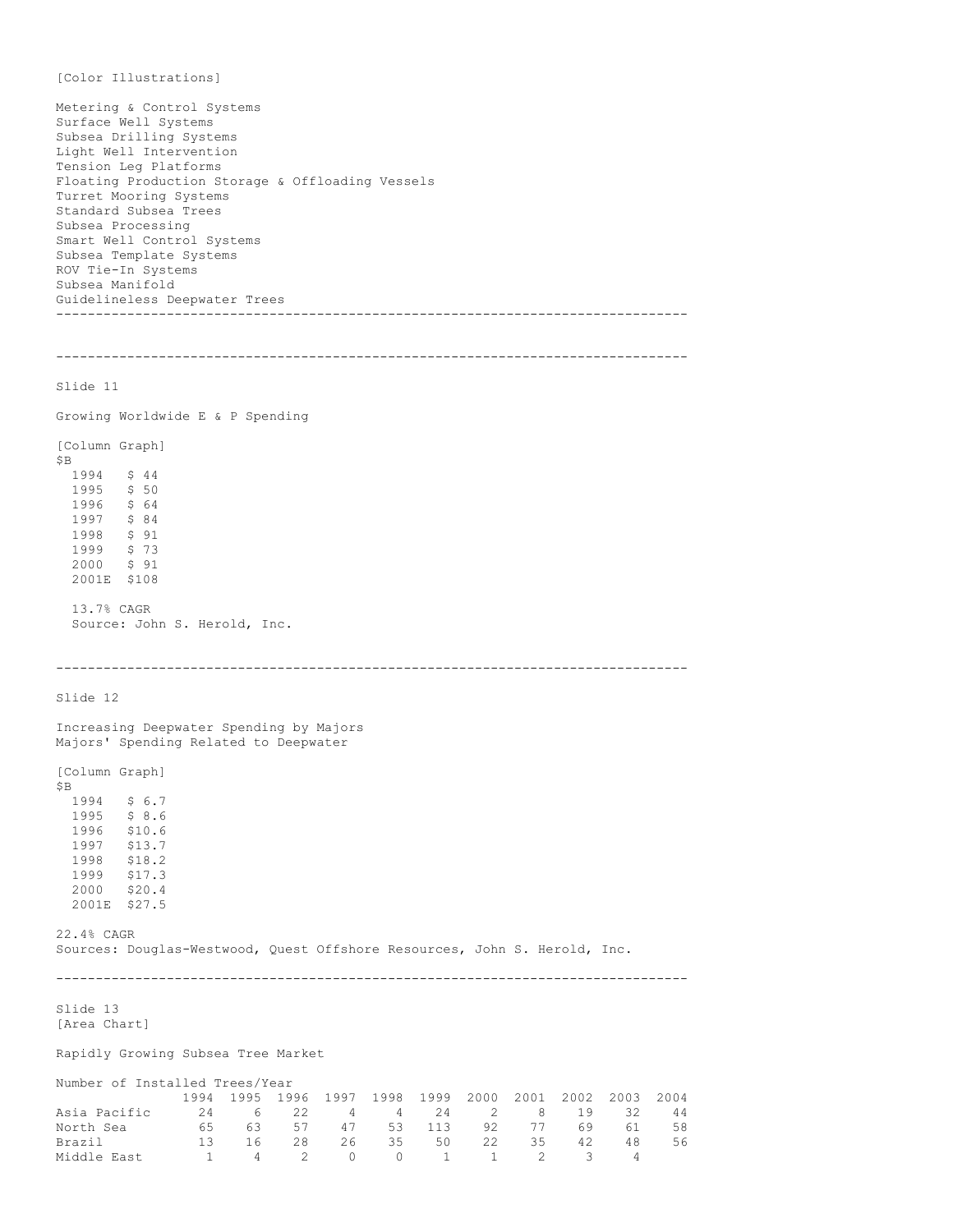[Color Illustrations] Metering & Control Systems Surface Well Systems Subsea Drilling Systems Light Well Intervention Tension Leg Platforms Floating Production Storage & Offloading Vessels Turret Mooring Systems Standard Subsea Trees Subsea Processing Smart Well Control Systems Subsea Template Systems ROV Tie-In Systems Subsea Manifold Guidelineless Deepwater Trees -------------------------------------------------------------------------------- -------------------------------------------------------------------------------- Slide 11 Growing Worldwide E & P Spending [Column Graph] \$B 1994 \$ 44 1995 \$ 50<br>1996 \$ 64 1996 \$ 64<br>1997 \$ 84 1997 \$ 84<br>1998 \$ 91  $$91$ 1999 \$ 73 2000 \$ 91 2001E \$108 13.7% CAGR Source: John S. Herold, Inc. -------------------------------------------------------------------------------- Slide 12 Increasing Deepwater Spending by Majors Majors' Spending Related to Deepwater [Column Graph]  $$B$  1994  $$ 6.7$ 1995 \$ 8.6 1996 \$10.6<br>1997 \$13.7 \$13.7 1998 \$18.2<br>1999 \$17.3 \$17.3 2000 \$20.4 2001E \$27.5 22.4% CAGR Sources: Douglas-Westwood, Quest Offshore Resources, John S. Herold, Inc. -------------------------------------------------------------------------------- Slide 13 [Area Chart] Rapidly Growing Subsea Tree Market Number of Installed Trees/Year 1994 1995 1996 1997 1998 1999 2000 2001 2002 2003 2004 Asia Pacific 24 6 22 4 4 24 2 8 19 32 44<br>
North Sea 65 63 57 47 53 113 92 77 69 61 58<br>
Brazil 13 16 28 26 35 50 22 35 42 48 56<br>
Middle East 1 4 2 0 0 1 1 North Sea 65 63 57 47 53 113 92 77 69 61 58 Brazil 13 16 28 26 35 50 22 35 42 48 56 1 1 53 113 92 77 69 61<br>
1 1 1 1 2 2 26 35 50 22 35 42 48<br>
1 3 16 28 26 35 50 22 35 42<br>
1 4 2 0 0 1 1 2 3 4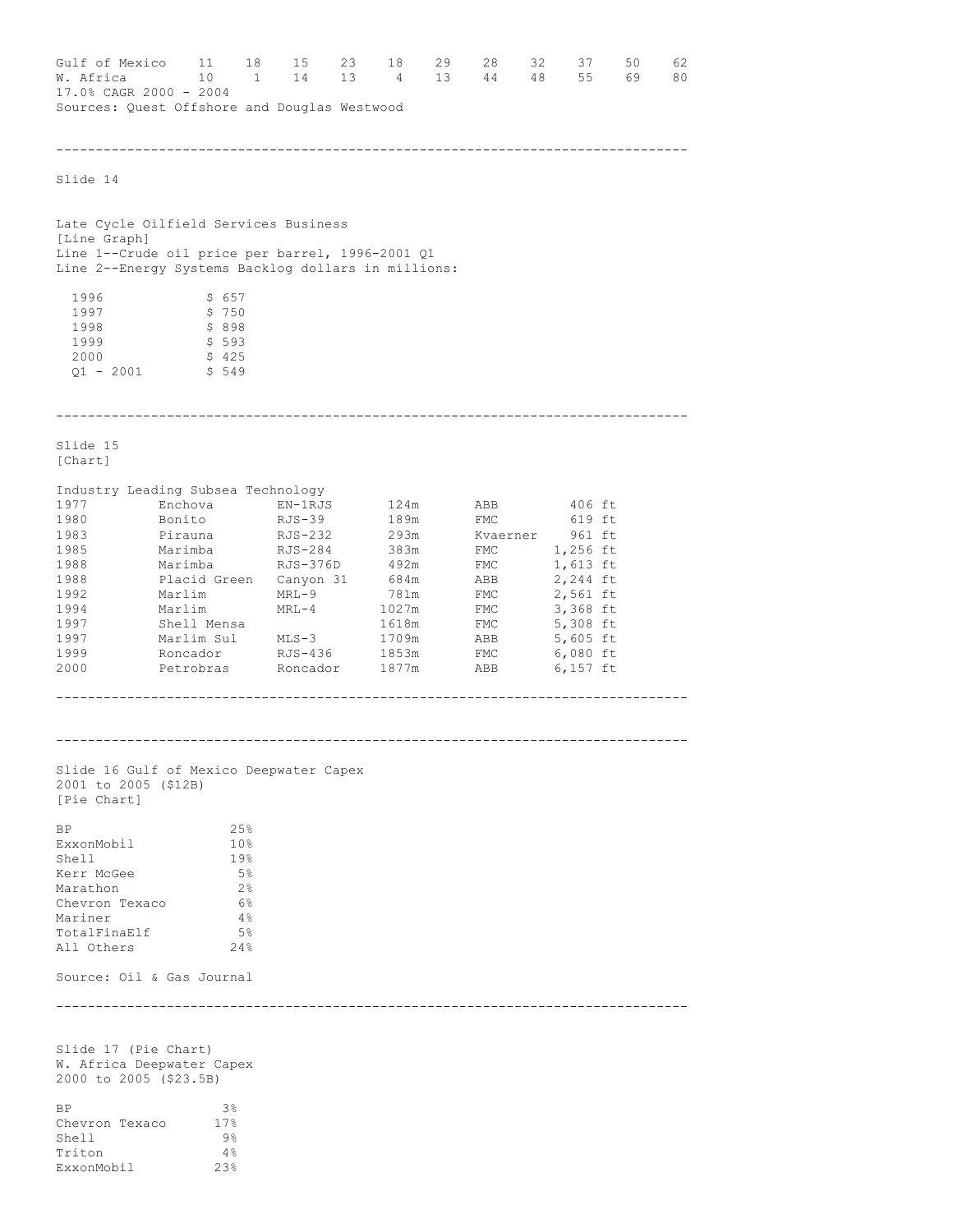Gulf of Mexico 11 18 15 23 18 29 28 32 37 50 62<br>W. Africa 10 1 14 13 4 13 44 48 55 69 80 1 14 13 4 13 44 48 55 69 17.0% CAGR 2000 - 2004 Sources: Quest Offshore and Douglas Westwood -------------------------------------------------------------------------------- Slide 14 Late Cycle Oilfield Services Business [Line Graph] Line 1--Crude oil price per barrel, 1996-2001 Q1 Line 2--Energy Systems Backlog dollars in millions: 1996 \$ 657<br>1997 \$ 750 \$ 750  $\begin{array}{ccc} 1998 & & & \xi & 898 \\ 1999 & & & \xi & 593 \end{array}$ \$ 593 2000 \$ 425 Q1 - 2001 \$ 549 -------------------------------------------------------------------------------- Slide 15 [Chart] Industry Leading Subsea Technology 1977 Enchova EN-1RJS 124m ABB 406 ft<br>1980 Bonito RJS-39 189m FMC 619 ft 1980 Bonito RJS-39 189m FMC<br>
1980 Bonito RJS-39 189m FMC<br>
1983 Pirauna RJS-232 293m Kvaerner<br>
1985 Marimba RJS-284 383m FMC<br>
1988 Marimba RJS-376D 492m FMC 293m Kvaerner 961 ft<br>383m FMC 1,256 ft<br>492m FMC 1,613 ft 1985 Marimba RJS-284 383m FMC 1,256 ft 1988 Marimba RJS-376D 492m FMC 1,613 ft 1988 Marimba RJS-376D 492m FMC 1,613 ft<br>1988 Placid Green Canyon 31 684m ABB 2,244 ft<br>1992 Marlim MRL-9 781m FMC 2,561 ft<br>1994 Marlim MRL-4 1027m FMC 3,366 ft<br>Sholl Monga Sholl Monga 1992 Marlim MRL-9 781m FMC 2,561 ft<br>1994 Marlim MRL-4 1027m FMC 3,368 ft 1994 Marlim MRL-4 1027m FMC 3,368 ft 1997 Shell Mensa 1618m FMC 5,308 ft 1997 Marlim Sul MLS-3 1709m ABB 5,605 ft 1999 Roncador RJS-436 1853m FMC 6,080 ft 2000 Petrobras Roncador 1877m ABB 6,157 ft -------------------------------------------------------------------------------- -------------------------------------------------------------------------------- Slide 16 Gulf of Mexico Deepwater Capex 2001 to 2005 (\$12B) [Pie Chart]  $BP$  25% ExxonMobil 10% Shell 19%<br>
Kerr McGee 19% Exerr McGee 5% 5%<br>Marathon 2% 2% Marathon 2% Chevron Texaco 6%<br>Mariner 4% Mariner 4%<br>TotalFinaElf 5% TotalFinaElf 5% All Others 24% Source: Oil & Gas Journal -------------------------------------------------------------------------------- Slide 17 (Pie Chart) W. Africa Deepwater Capex 2000 to 2005 (\$23.5B)  $BP$  3% Chevron Texaco 17%<br>Shell 9% Shell Triton 4%<br>ExxonMobil 23%

ExxonMobil 23%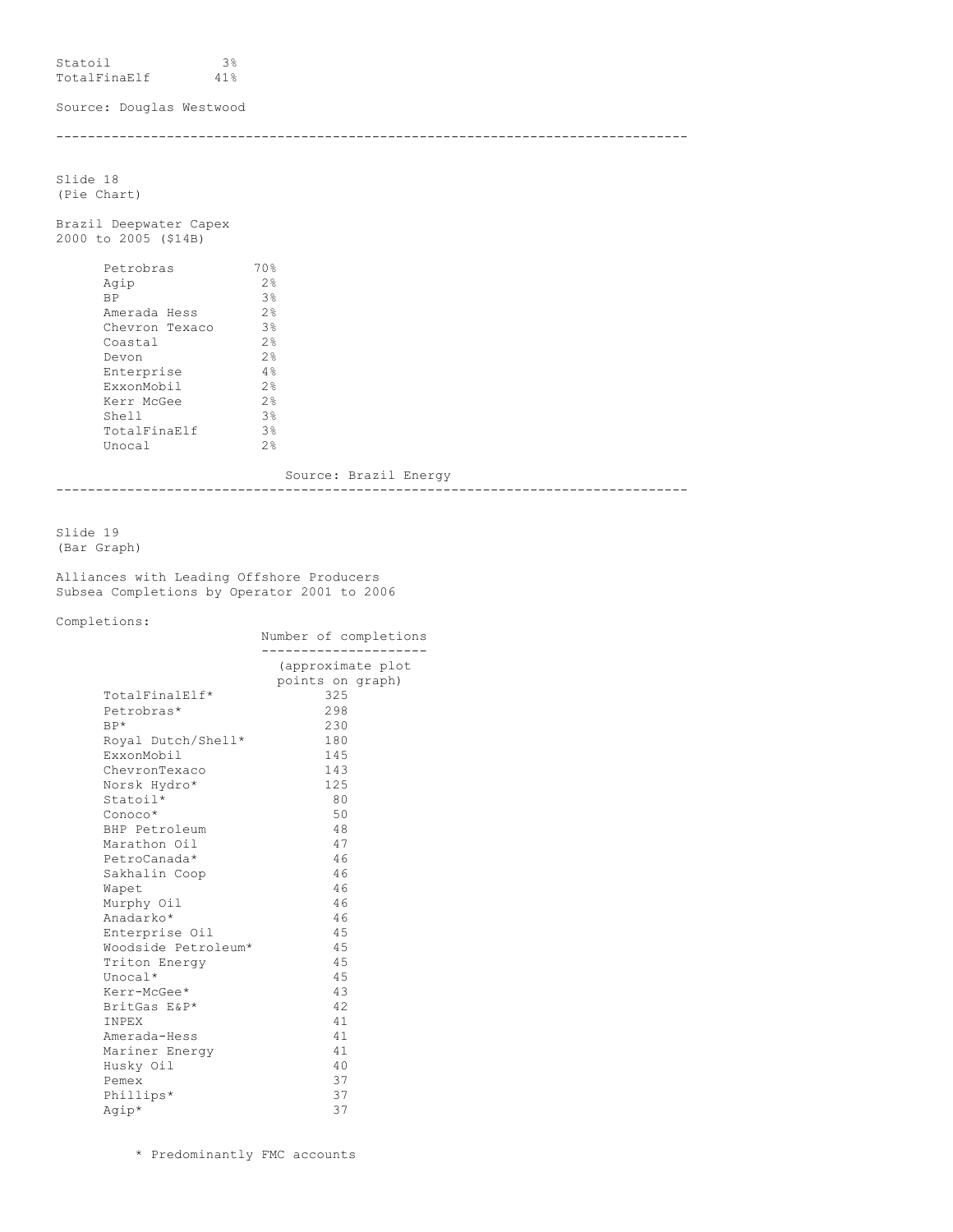Statoil 3% TotalFinaElf 41%

Source: Douglas Westwood

--------------------------------------------------------------------------------

Slide 18 (Pie Chart)

Brazil Deepwater Capex 2000 to 2005 (\$14B)

| Petrobras      | 70%               |
|----------------|-------------------|
| Aqip           | $2$ $\frac{6}{2}$ |
| <b>BP</b>      | 3%                |
| Amerada Hess   | $2$ $\frac{6}{2}$ |
| Chevron Texaco | 3%                |
| Coastal        | 2.8               |
| Devon          | $2$ $\frac{6}{2}$ |
| Enterprise     | 4%                |
| ExxonMobil     | $2$ $\frac{6}{2}$ |
| Kerr McGee     | $2$ $\frac{6}{2}$ |
| Shell          | 3%                |
| TotalFinaElf   | 3%                |
| Unocal         | つら                |
|                |                   |

Source: Brazil Energy --------------------------------------------------------------------------------

Slide 19 (Bar Graph)

Alliances with Leading Offshore Producers Subsea Completions by Operator 2001 to 2006

Completions:

|                     | Number of completions                 |
|---------------------|---------------------------------------|
|                     | (approximate plot<br>points on graph) |
| TotalFinalElf*      | 325                                   |
| Petrobras*          | 298                                   |
| $BP*$               | 230                                   |
| Royal Dutch/Shell*  | 180                                   |
| ExxonMobil          | 145                                   |
| ChevronTexaco       | 143                                   |
| Norsk Hydro*        | 125                                   |
| Statoil*            | 80                                    |
| Conoco*             | 50                                    |
| BHP Petroleum       | 48                                    |
| Marathon Oil        | 47                                    |
| PetroCanada*        | 46                                    |
| Sakhalin Coop       | 46                                    |
| Wapet               | 46                                    |
| Murphy Oil          | 46                                    |
| Anadarko*           | 46                                    |
| Enterprise Oil      | 45                                    |
| Woodside Petroleum* | 45                                    |
| Triton Energy       | 4.5                                   |
| Unocal*             | 45                                    |
| Kerr-McGee*         | 43                                    |
| BritGas E&P*        | 42.                                   |
| INPEX               | 41                                    |
| Amerada-Hess        | 41                                    |
| Mariner Energy      | 41                                    |
| Husky Oil           | 40                                    |
| Pemex               | 37                                    |
| Phillips*           | 37                                    |
| Agip*               | 37                                    |

\* Predominantly FMC accounts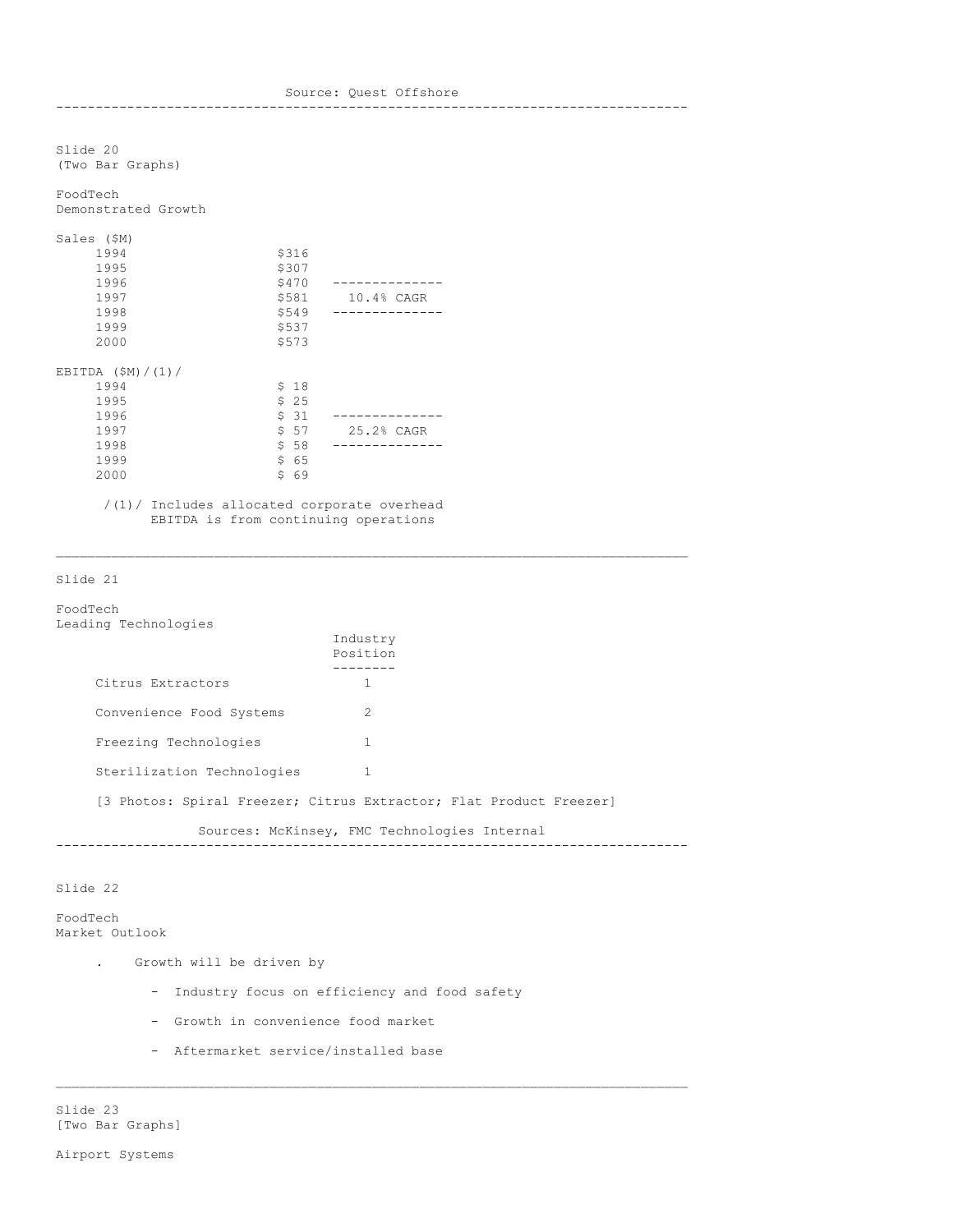Source: Quest Offshore -------------------------------------------------------------------------------- Slide 20 (Two Bar Graphs) FoodTech Demonstrated Growth Sales (\$M) 1994 \$316 1995 \$307 \$470 --------------<br>\$581 10.4% CAGR 1997 \$581 10.4% CAGR 1998 \$549 -------------- 1999 \$537 \$573 EBITDA (\$M)/(1)/  $$ 18$  $1995$ <br>  $5 25$ <br>  $1996$ <br>  $5 31$ 1996 \$ 31 -------------- 25.2% CAGR 1998 \$ 58 --------------  $$65$ 2000 \$ 69

/(1)/ Includes allocated corporate overhead EBITDA is from continuing operations

## Slide 21

FoodTech Leading Technologies

| ------                                                             | Industry<br>Position |  |  |
|--------------------------------------------------------------------|----------------------|--|--|
| Citrus Extractors                                                  |                      |  |  |
| Convenience Food Systems                                           | $\mathcal{L}$        |  |  |
| Freezing Technologies                                              |                      |  |  |
| Sterilization Technologies                                         |                      |  |  |
| [3 Photos: Spiral Freezer; Citrus Extractor; Flat Product Freezer] |                      |  |  |
|                                                                    |                      |  |  |

Sources: McKinsey, FMC Technologies Internal --------------------------------------------------------------------------------

## Slide 22

FoodTech Market Outlook

- . Growth will be driven by
	- Industry focus on efficiency and food safety

 $\mathcal{L}_\text{max}$ 

- Growth in convenience food market
- Aftermarket service/installed base

Slide 23 [Two Bar Graphs]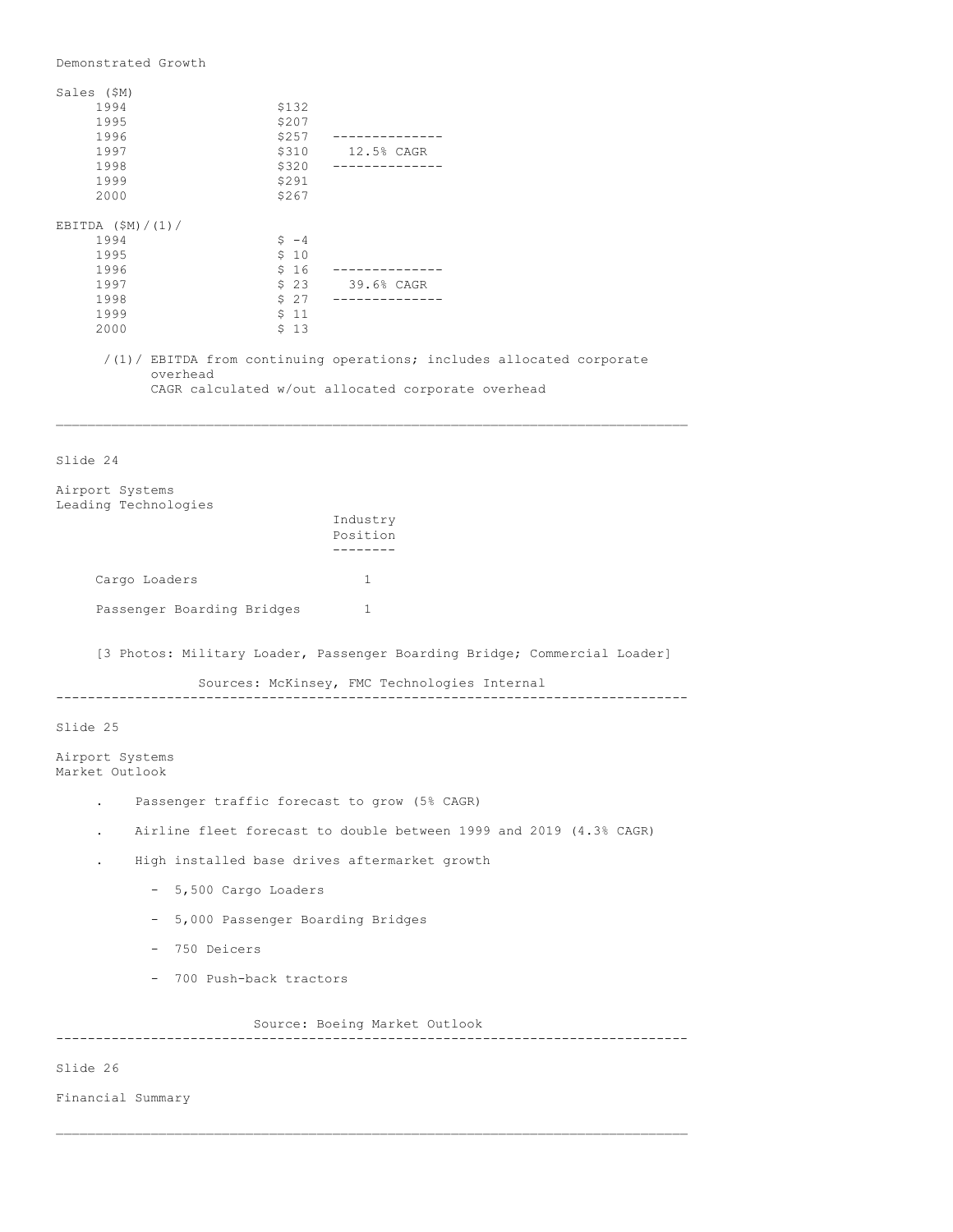Demonstrated Growth Sales (\$M) 1994 \$132<br>1995 \$207 1995 \$207 1996 \$257 -------------- 1997 \$310 12.5% CAGR 1998 \$320 -------------- 1999 \$291 2000 \$267 EBITDA  $(SM)/(1)/$  $1994$ <br>  $3995$ <br>  $510$  $$10  
$16$ 1996 \$ 16 -------------- 1997 \$ 23 39.6% CAGR 1998 \$ 27 --------------  $\begin{array}{cc} \texttt{\$} & 11 \\ \texttt{\$} & 13 \end{array}$ 2000 /(1)/ EBITDA from continuing operations; includes allocated corporate overhead CAGR calculated w/out allocated corporate overhead  $\mathcal{L}_\text{max}$ Slide 24 Airport Systems Leading Technologies Industry Position -------- Cargo Loaders 1 Passenger Boarding Bridges 1 [3 Photos: Military Loader, Passenger Boarding Bridge; Commercial Loader] Sources: McKinsey, FMC Technologies Internal -------------------------------------------------------------------------------- Slide 25 Airport Systems Market Outlook . Passenger traffic forecast to grow (5% CAGR) . Airline fleet forecast to double between 1999 and 2019 (4.3% CAGR) . High installed base drives aftermarket growth - 5,500 Cargo Loaders - 5,000 Passenger Boarding Bridges - 750 Deicers - 700 Push-back tractors Source: Boeing Market Outlook -------------------------------------------------------------------------------- Slide 26

\_\_\_\_\_\_\_\_\_\_\_\_\_\_\_\_\_\_\_\_\_\_\_\_\_\_\_\_\_\_\_\_\_\_\_\_\_\_\_\_\_\_\_\_\_\_\_\_\_\_\_\_\_\_\_\_\_\_\_\_\_\_\_\_\_\_\_\_\_\_\_\_\_\_\_\_\_\_\_\_

Financial Summary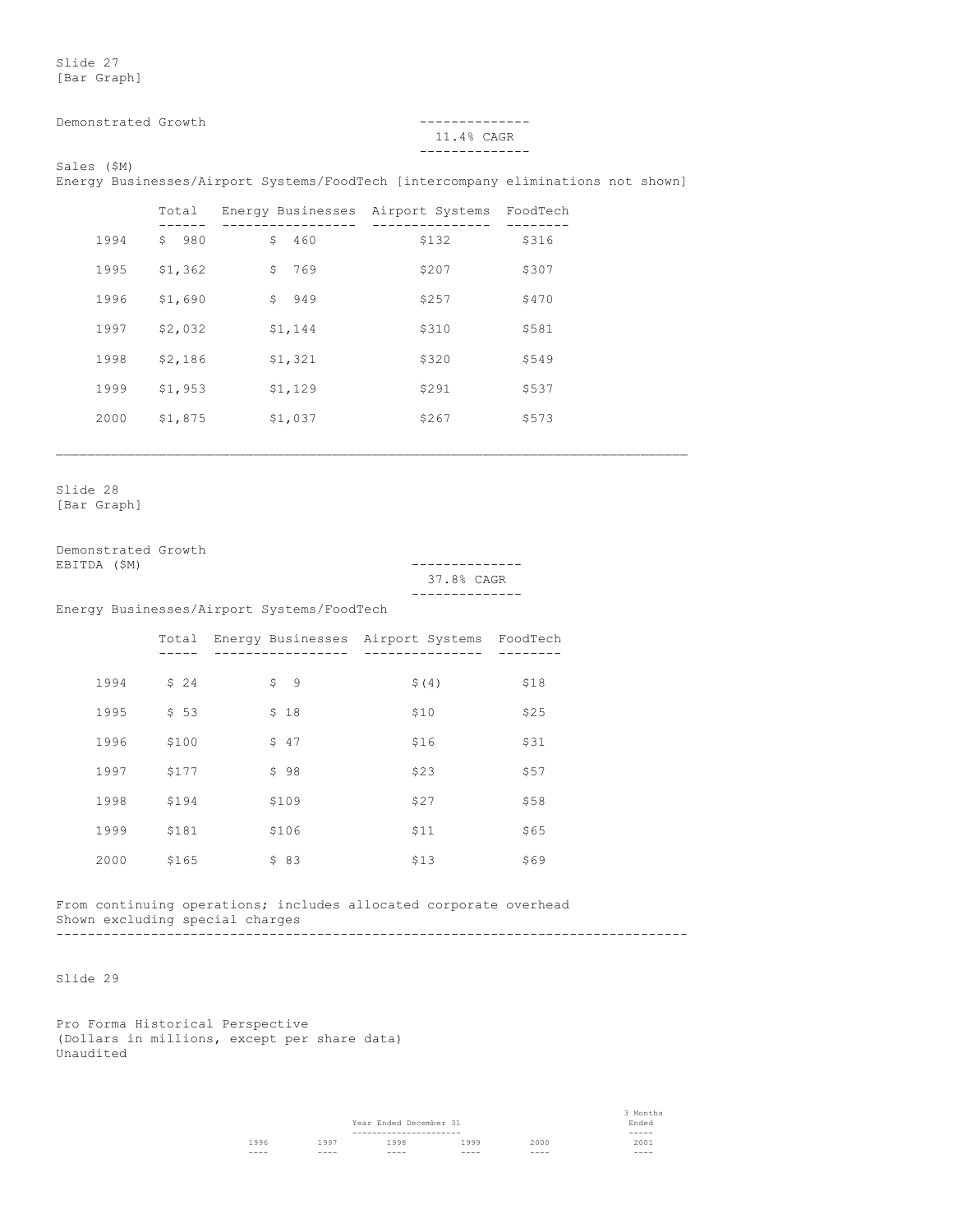Slide 27 [Bar Graph]

Demonstrated Growth --------------

# 11.4% CAGR --------------

Sales (\$M)

Energy Businesses/Airport Systems/FoodTech [intercompany eliminations not shown]

 $\mathcal{L}_\text{max}$ 

|      | Total               | Energy Businesses Airport Systems |       | FoodTech |
|------|---------------------|-----------------------------------|-------|----------|
| 1994 | 980<br>$\mathsf{S}$ | \$<br>460                         | \$132 | \$316    |
| 1995 | \$1,362             | \$<br>769                         | \$207 | \$307    |
| 1996 | \$1,690             | 949<br>\$                         | \$257 | \$470    |
| 1997 | \$2,032             | \$1,144                           | \$310 | \$581    |
| 1998 | \$2,186             | \$1,321                           | \$320 | \$549    |
| 1999 | \$1,953             | \$1,129                           | \$291 | \$537    |
| 2000 | \$1,875             | \$1,037                           | \$267 | \$573    |
|      |                     |                                   |       |          |

Slide 28 [Bar Graph]

Demonstrated Growth<br>EBITDA (\$M)

EBITDA (\$M) -------------- 37.8% CAGR --------------

Energy Businesses/Airport Systems/FoodTech

|      | Total | Energy Businesses Airport Systems |       | FoodTech |
|------|-------|-----------------------------------|-------|----------|
|      |       |                                   |       |          |
| 1994 | \$24  | \$<br>- 9                         | \$(4) | \$18     |
| 1995 | \$53  | \$18                              | \$10  | \$25     |
| 1996 | \$100 | \$47                              | \$16  | \$31     |
| 1997 | \$177 | \$98                              | \$23  | \$57     |
| 1998 | \$194 | \$109                             | \$27  | \$58     |
| 1999 | \$181 | \$106                             | \$11  | \$65     |
| 2000 | \$165 | \$83                              | \$13  | \$69     |
|      |       |                                   |       |          |

From continuing operations; includes allocated corporate overhead Shown excluding special charges --------------------------------------------------------------------------------

Slide 29

Pro Forma Historical Perspective (Dollars in millions, except per share data) Unaudited

> 3 Months Year Ended December 31 Ended ---------------------- ----- 1996 1997 1998 1999 2000 2001 ---- ---- ---- ---- ---- ----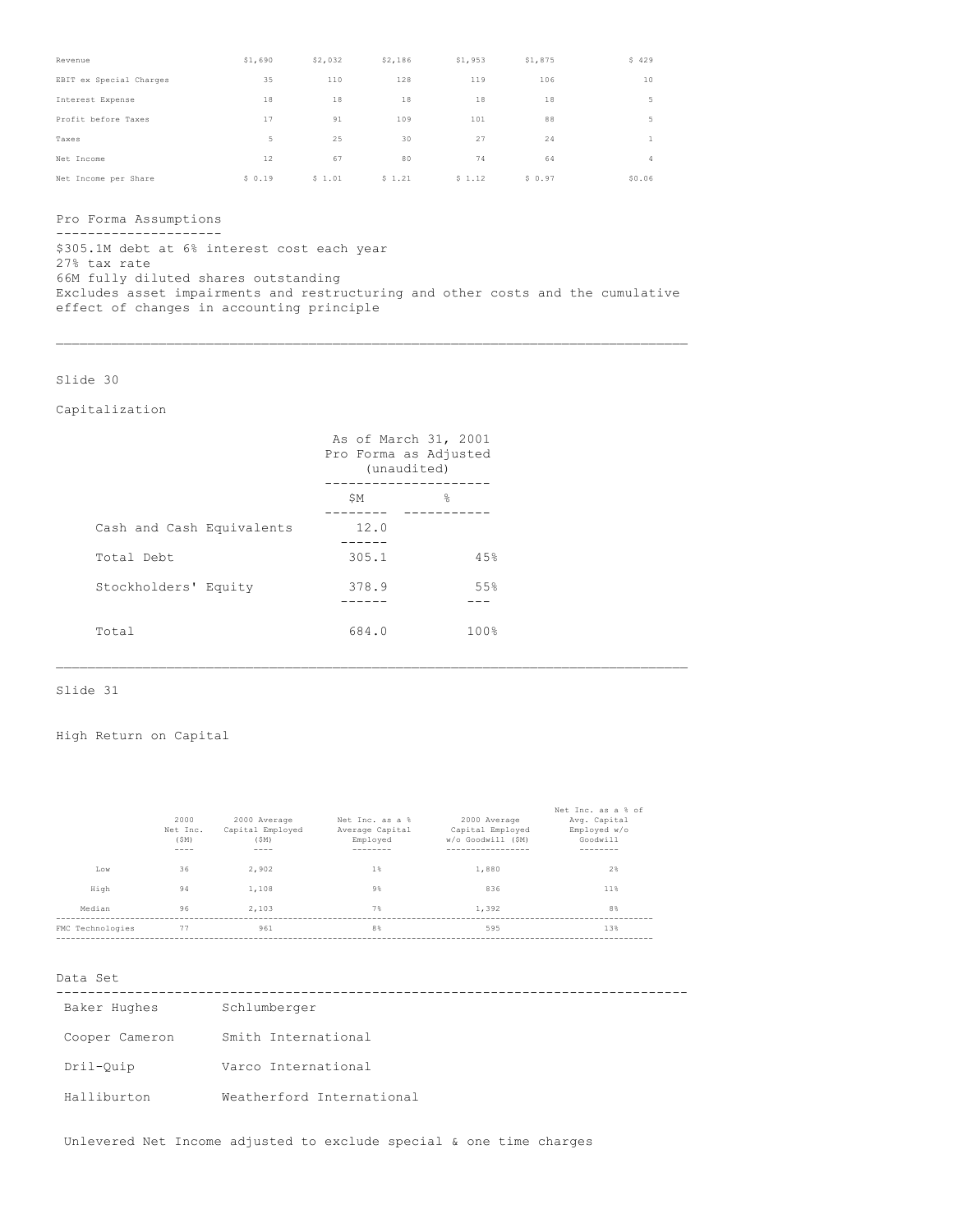| Revenue                 | \$1,690 | \$2,032 | \$2,186 | \$1,953 | \$1,875 | \$429        |
|-------------------------|---------|---------|---------|---------|---------|--------------|
| EBIT ex Special Charges | 35      | 110     | 128     | 119     | 106     | 10           |
| Interest Expense        | 18      | 18      | 18      | 18      | 18      | 5            |
| Profit before Taxes     | 17      | 91      | 109     | 101     | 88      | 5            |
| Taxes                   | 5       | 25      | 30      | 27      | 24      | $\mathbf{1}$ |
| Net Income              | 12      | 67      | 80      | 74      | 64      | 4            |
| Net Income per Share    | \$0.19  | \$1.01  | \$1.21  | \$1.12  | \$0.97  | \$0.06       |

Pro Forma Assumptions

--------------------- \$305.1M debt at 6% interest cost each year 27% tax rate 66M fully diluted shares outstanding Excludes asset impairments and restructuring and other costs and the cumulative effect of changes in accounting principle

Slide 30

# Capitalization

|                           | As of March 31, 2001<br>Pro Forma as Adjusted<br>(unaudited) |                    |
|---------------------------|--------------------------------------------------------------|--------------------|
|                           | \$Μ                                                          | $\approx$          |
| Cash and Cash Equivalents | 12.0                                                         |                    |
| Total Debt                | 305.1                                                        | 4.5%               |
| Stockholders' Equity      | 378.9                                                        | 55%                |
| Total                     | 684.0                                                        | $100$ <sup>2</sup> |

# Slide 31

# High Return on Capital

| 2000<br>Net Inc.<br>(SM)<br>---- | 2000 Average<br>Capital Employed<br>(SM)<br>---- | Net Inc. as a %<br>Average Capital<br>Employed | 2000 Average<br>Capital Employed<br>W/o Goodwill (SM) | Net Inc. as a % of<br>Avg. Capital<br>Employed w/o<br>Goodwill |
|----------------------------------|--------------------------------------------------|------------------------------------------------|-------------------------------------------------------|----------------------------------------------------------------|
| 36<br>Low                        | 2.902                                            | $1\%$                                          | 1,880                                                 | 2%                                                             |
| High<br>94                       | 1,108                                            | $9\%$                                          | 836                                                   | 11%                                                            |
| 96<br>Median                     | 2.103                                            | 7%                                             | 1.392                                                 | 8 <sup>°</sup>                                                 |
| 77<br>FMC Technologies           | 961                                              | 8 <sup>°</sup>                                 | 595                                                   | 13%                                                            |

\_\_\_\_\_\_\_\_\_\_\_\_\_\_\_\_\_\_\_\_\_\_\_\_\_\_\_\_\_\_\_\_\_\_\_\_\_\_\_\_\_\_\_\_\_\_\_\_\_\_\_\_\_\_\_\_\_\_\_\_\_\_\_\_\_\_\_\_\_\_\_\_\_\_\_\_\_\_\_\_

### Data Set

| Baker Hughes   | Schlumberger              |  |
|----------------|---------------------------|--|
| Cooper Cameron | Smith International       |  |
| Dril-Ouip      | Varco International       |  |
| Halliburton    | Weatherford International |  |

Unlevered Net Income adjusted to exclude special & one time charges